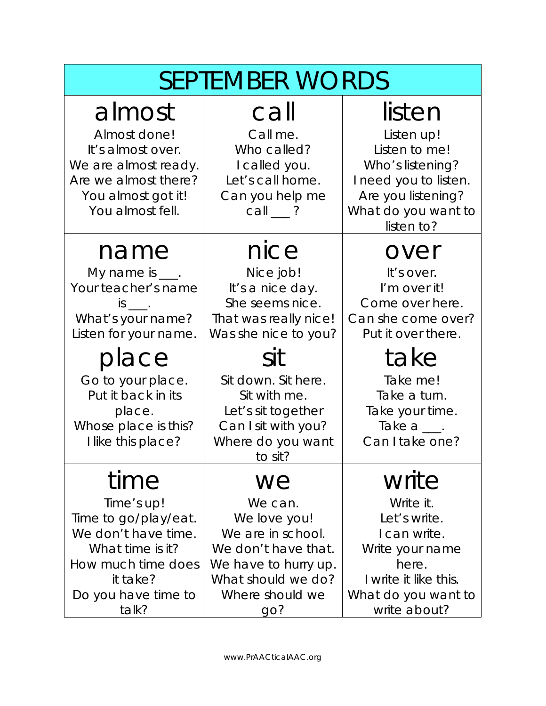| <b>SEPTEMBER WORDS</b>                                                                                                                                  |                                                                                                                                                   |                                                                                                                                                |
|---------------------------------------------------------------------------------------------------------------------------------------------------------|---------------------------------------------------------------------------------------------------------------------------------------------------|------------------------------------------------------------------------------------------------------------------------------------------------|
| almost<br>Almost done!<br>It's almost over.<br>We are almost ready.<br>Are we almost there?<br>You almost got it!<br>You almost fell.                   | call<br>Call me.<br>Who called?<br>I called you.<br>Let's call home.<br>Can you help me<br>$call_$ ?                                              | listen<br>Listen up!<br>Listen to me!<br>Who's listening?<br>I need you to listen.<br>Are you listening?<br>What do you want to<br>listen to?  |
| name<br>My name is $\_\_\$ .<br>Your teacher's name<br>$is$ $\qquad$ .<br>What's your name?<br>Listen for your name.                                    | nice<br>Nice job!<br>It's a nice day.<br>She seems nice.<br>That was really nice!<br>Was she nice to you?                                         | over<br>It's over.<br>I'm over it!<br>Come over here.<br>Can she come over?<br>Put it over there.                                              |
| place<br>Go to your place.<br>Put it back in its<br>place.<br>Whose place is this?<br>I like this place?                                                | sit<br>Sit down. Sit here.<br>Sit with me.<br>Let's sit together<br>Can I sit with you?<br>Where do you want<br>to sit?                           | take<br>Take me!<br>Take a turn.<br>Take your time.<br>Take $a \_\_\$<br>Can I take one?                                                       |
| time<br>Time's up!<br>Time to go/play/eat.<br>We don't have time.<br>What time is it?<br>How much time does<br>it take?<br>Do you have time to<br>talk? | we<br>We can.<br>We love you!<br>We are in school.<br>We don't have that.<br>We have to hurry up.<br>What should we do?<br>Where should we<br>go? | write<br>Write it.<br>Let's write.<br>I can write.<br>Write your name<br>here.<br>I write it like this.<br>What do you want to<br>write about? |